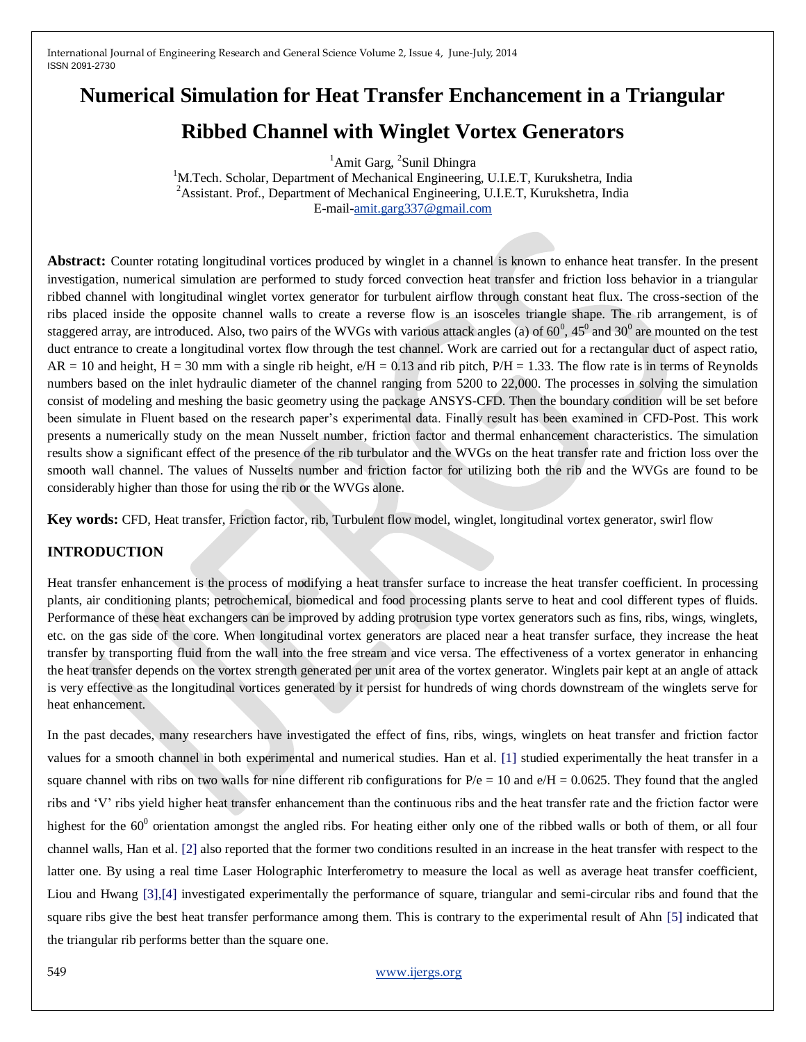# **Numerical Simulation for Heat Transfer Enchancement in a Triangular Ribbed Channel with Winglet Vortex Generators**

<sup>1</sup>Amit Garg, <sup>2</sup>Sunil Dhingra

<sup>1</sup>M.Tech. Scholar, Department of Mechanical Engineering, U.I.E.T, Kurukshetra, India <sup>2</sup>Assistant. Prof., Department of Mechanical Engineering, U.I.E.T, Kurukshetra, India E-mail[-amit.garg337@gmail.com](mailto:amit.garg337@gmail.com)

**Abstract:** Counter rotating longitudinal vortices produced by winglet in a channel is known to enhance heat transfer. In the present investigation, numerical simulation are performed to study forced convection heat transfer and friction loss behavior in a triangular ribbed channel with longitudinal winglet vortex generator for turbulent airflow through constant heat flux. The cross-section of the ribs placed inside the opposite channel walls to create a reverse flow is an isosceles triangle shape. The rib arrangement, is of staggered array, are introduced. Also, two pairs of the WVGs with various attack angles (a) of 60<sup>0</sup>, 45<sup>0</sup> and 30<sup>0</sup> are mounted on the test duct entrance to create a longitudinal vortex flow through the test channel. Work are carried out for a rectangular duct of aspect ratio,  $AR = 10$  and height,  $H = 30$  mm with a single rib height,  $e/H = 0.13$  and rib pitch,  $P/H = 1.33$ . The flow rate is in terms of Reynolds numbers based on the inlet hydraulic diameter of the channel ranging from 5200 to 22,000. The processes in solving the simulation consist of modeling and meshing the basic geometry using the package ANSYS-CFD. Then the boundary condition will be set before been simulate in Fluent based on the research paper's experimental data. Finally result has been examined in CFD-Post. This work presents a numerically study on the mean Nusselt number, friction factor and thermal enhancement characteristics. The simulation results show a significant effect of the presence of the rib turbulator and the WVGs on the heat transfer rate and friction loss over the smooth wall channel. The values of Nusselts number and friction factor for utilizing both the rib and the WVGs are found to be considerably higher than those for using the rib or the WVGs alone.

**Key words:** CFD, Heat transfer, Friction factor, rib, Turbulent flow model, winglet, longitudinal vortex generator, swirl flow

#### **INTRODUCTION**

Heat transfer enhancement is the process of modifying a heat transfer surface to increase the heat transfer coefficient. In processing plants, air conditioning plants; petrochemical, biomedical and food processing plants serve to heat and cool different types of fluids. Performance of these heat exchangers can be improved by adding protrusion type vortex generators such as fins, ribs, wings, winglets, etc. on the gas side of the core. When longitudinal vortex generators are placed near a heat transfer surface, they increase the heat transfer by transporting fluid from the wall into the free stream and vice versa. The effectiveness of a vortex generator in enhancing the heat transfer depends on the vortex strength generated per unit area of the vortex generator. Winglets pair kept at an angle of attack is very effective as the longitudinal vortices generated by it persist for hundreds of wing chords downstream of the winglets serve for heat enhancement.

In the past decades, many researchers have investigated the effect of fins, ribs, wings, winglets on heat transfer and friction factor values for a smooth channel in both experimental and numerical studies. Han et al. [1] studied experimentally the heat transfer in a square channel with ribs on two walls for nine different rib configurations for  $P/e = 10$  and  $e/H = 0.0625$ . They found that the angled ribs and 'V' ribs yield higher heat transfer enhancement than the continuous ribs and the heat transfer rate and the friction factor were highest for the  $60^0$  orientation amongst the angled ribs. For heating either only one of the ribbed walls or both of them, or all four channel walls, Han et al. [2] also reported that the former two conditions resulted in an increase in the heat transfer with respect to the latter one. By using a real time Laser Holographic Interferometry to measure the local as well as average heat transfer coefficient, Liou and Hwang [3],[4] investigated experimentally the performance of square, triangular and semi-circular ribs and found that the square ribs give the best heat transfer performance among them. This is contrary to the experimental result of Ahn [5] indicated that the triangular rib performs better than the square one.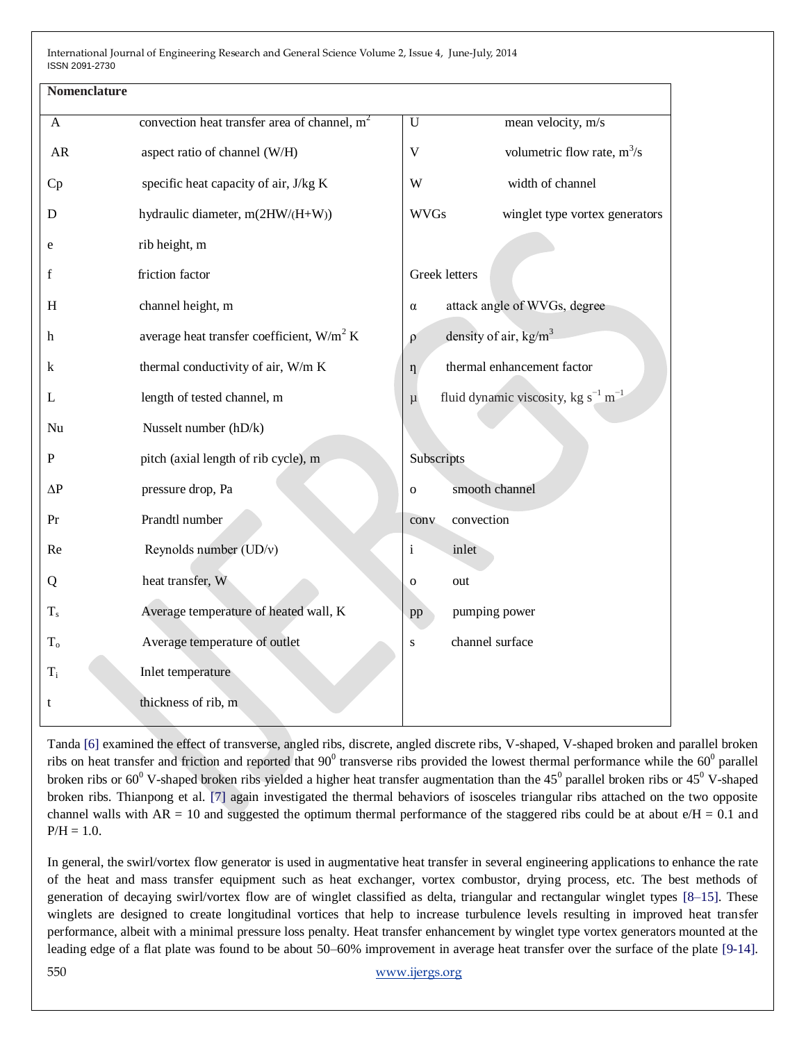| convection heat transfer area of channel, $m2$ | mean velocity, m/s<br>$\mathbf U$                             |  |  |
|------------------------------------------------|---------------------------------------------------------------|--|--|
| aspect ratio of channel (W/H)                  | $\mathbf V$<br>volumetric flow rate, $m^3/s$                  |  |  |
| specific heat capacity of air, J/kg K          | width of channel<br>W                                         |  |  |
| hydraulic diameter, m(2HW/(H+W))               | <b>WVGs</b><br>winglet type vortex generators                 |  |  |
| rib height, m                                  |                                                               |  |  |
| friction factor                                | <b>Greek</b> letters                                          |  |  |
| channel height, m                              | attack angle of WVGs, degree<br>$\alpha$                      |  |  |
| average heat transfer coefficient, $W/m^2 K$   | density of air, $kg/m3$<br>$\rho$                             |  |  |
| thermal conductivity of air, W/m K             | thermal enhancement factor<br>$\eta$                          |  |  |
| length of tested channel, m                    | fluid dynamic viscosity, kg $s^{-1}$ m <sup>-1</sup><br>$\mu$ |  |  |
| Nusselt number (hD/k)                          |                                                               |  |  |
| pitch (axial length of rib cycle), m           | Subscripts                                                    |  |  |
| pressure drop, Pa                              | smooth channel<br>$\Omega$                                    |  |  |
| Prandtl number                                 | convection<br>conv                                            |  |  |
| Reynolds number (UD/v)                         | i<br>inlet                                                    |  |  |
| heat transfer, W                               | out<br>$\mathbf{O}$                                           |  |  |
| Average temperature of heated wall, K          | pumping power<br>pp                                           |  |  |
| Average temperature of outlet                  | channel surface<br>S                                          |  |  |
| Inlet temperature                              |                                                               |  |  |
| thickness of rib, m                            |                                                               |  |  |
|                                                |                                                               |  |  |

Tanda [6] examined the effect of transverse, angled ribs, discrete, angled discrete ribs, V-shaped, V-shaped broken and parallel broken ribs on heat transfer and friction and reported that  $90^0$  transverse ribs provided the lowest thermal performance while the  $60^0$  parallel broken ribs or 60<sup>0</sup> V-shaped broken ribs yielded a higher heat transfer augmentation than the 45<sup>0</sup> parallel broken ribs or 45<sup>0</sup> V-shaped broken ribs. Thianpong et al. [7] again investigated the thermal behaviors of isosceles triangular ribs attached on the two opposite channel walls with  $AR = 10$  and suggested the optimum thermal performance of the staggered ribs could be at about  $e/H = 0.1$  and  $P/H = 1.0.$ 

In general, the swirl/vortex flow generator is used in augmentative heat transfer in several engineering applications to enhance the rate of the heat and mass transfer equipment such as heat exchanger, vortex combustor, drying process, etc. The best methods of generation of decaying swirl/vortex flow are of winglet classified as delta, triangular and rectangular winglet types [8–15]. These winglets are designed to create longitudinal vortices that help to increase turbulence levels resulting in improved heat transfer performance, albeit with a minimal pressure loss penalty. Heat transfer enhancement by winglet type vortex generators mounted at the leading edge of a flat plate was found to be about 50–60% improvement in average heat transfer over the surface of the plate [9-14].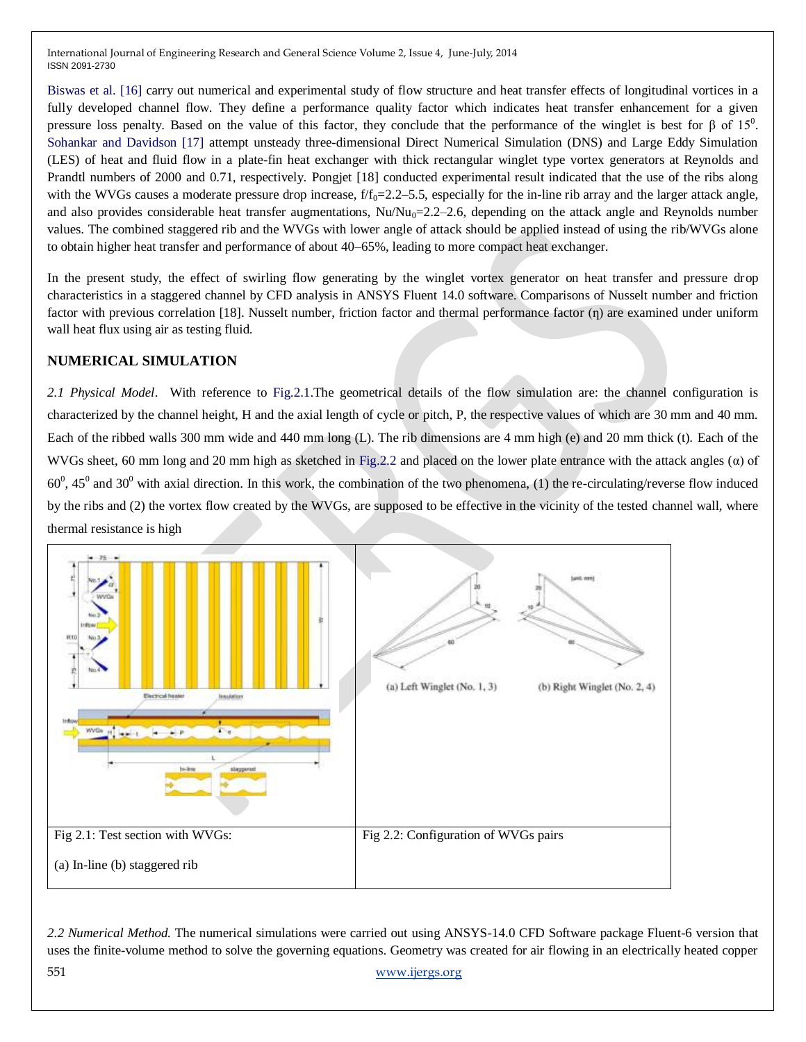Biswas et al. [16] carry out numerical and experimental study of flow structure and heat transfer effects of longitudinal vortices in a fully developed channel flow. They define a performance quality factor which indicates heat transfer enhancement for a given pressure loss penalty. Based on the value of this factor, they conclude that the performance of the winglet is best for β of 15<sup>0</sup>. Sohankar and Davidson [17] attempt unsteady three-dimensional Direct Numerical Simulation (DNS) and Large Eddy Simulation (LES) of heat and fluid flow in a plate-fin heat exchanger with thick rectangular winglet type vortex generators at Reynolds and Prandtl numbers of 2000 and 0.71, respectively. Pongjet [18] conducted experimental result indicated that the use of the ribs along with the WVGs causes a moderate pressure drop increase,  $f/f_0 = 2.2-5.5$ , especially for the in-line rib array and the larger attack angle, and also provides considerable heat transfer augmentations,  $Nu/Nu_0=2.2-2.6$ , depending on the attack angle and Reynolds number values. The combined staggered rib and the WVGs with lower angle of attack should be applied instead of using the rib/WVGs alone to obtain higher heat transfer and performance of about 40–65%, leading to more compact heat exchanger.

In the present study, the effect of swirling flow generating by the winglet vortex generator on heat transfer and pressure drop characteristics in a staggered channel by CFD analysis in ANSYS Fluent 14.0 software. Comparisons of Nusselt number and friction factor with previous correlation [18]. Nusselt number, friction factor and thermal performance factor (n) are examined under uniform wall heat flux using air as testing fluid.

## **NUMERICAL SIMULATION**

*2.1 Physical Model*. With reference to Fig.2.1.The geometrical details of the flow simulation are: the channel configuration is characterized by the channel height, H and the axial length of cycle or pitch, P, the respective values of which are 30 mm and 40 mm. Each of the ribbed walls 300 mm wide and 440 mm long (L). The rib dimensions are 4 mm high (e) and 20 mm thick (t). Each of the WVGs sheet, 60 mm long and 20 mm high as sketched in Fig.2.2 and placed on the lower plate entrance with the attack angles (α) of  $60^0$ ,  $45^0$  and  $30^0$  with axial direction. In this work, the combination of the two phenomena, (1) the re-circulating/reverse flow induced by the ribs and (2) the vortex flow created by the WVGs, are supposed to be effective in the vicinity of the tested channel wall, where thermal resistance is high



551 [www.ijergs.org](http://www.ijergs.org/) *2.2 Numerical Method.* The numerical simulations were carried out using ANSYS-14.0 CFD Software package Fluent-6 version that uses the finite-volume method to solve the governing equations. Geometry was created for air flowing in an electrically heated copper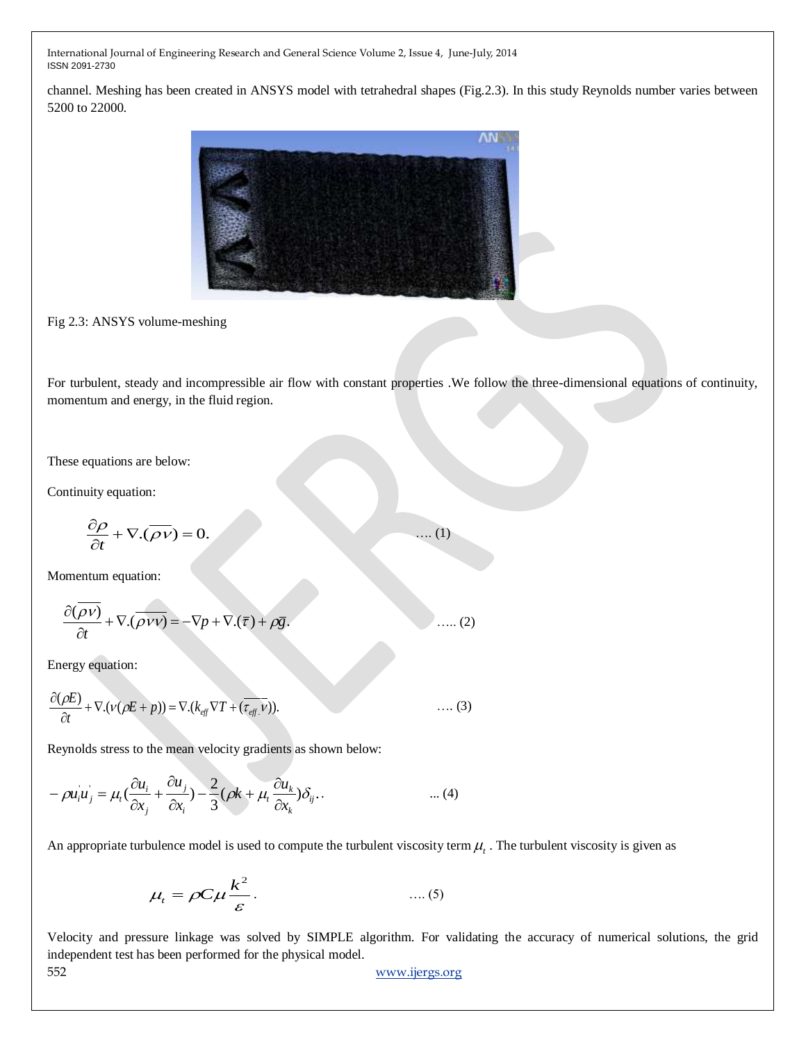channel. Meshing has been created in ANSYS model with tetrahedral shapes (Fig.2.3). In this study Reynolds number varies between 5200 to 22000.



Fig 2.3: ANSYS volume-meshing

For turbulent, steady and incompressible air flow with constant properties .We follow the three-dimensional equations of continuity, momentum and energy, in the fluid region.

…. (1)

These equations are below:

Continuity equation:

$$
\frac{\partial \rho}{\partial t} + \nabla \cdot (\overline{\rho \nu}) = 0.
$$

Momentum equation:

$$
\frac{\partial(\overline{\rho v})}{\partial t} + \nabla \cdot (\overline{\rho v v}) = -\nabla p + \nabla \cdot (\overline{\tau}) + \rho \overline{g}.
$$
 (2)

Energy equation:

$$
\frac{\partial(\rho E)}{\partial t} + \nabla \cdot (\nu(\rho E + p)) = \nabla \cdot (k_{\text{eff}} \nabla T + (\overline{\tau_{\text{eff}}} \cdot \overline{\nu})). \tag{3}
$$

Reynolds stress to the mean velocity gradients as shown below:

$$
-\rho u_i u_j = \mu_i \left(\frac{\partial u_i}{\partial x_j} + \frac{\partial u_j}{\partial x_i}\right) - \frac{2}{3} \left(\rho k + \mu_i \frac{\partial u_k}{\partial x_k}\right) \delta_{ij}.
$$

An appropriate turbulence model is used to compute the turbulent viscosity term  $\mu_t$ . The turbulent viscosity is given as

 2 *k t C* . …. (5)

Velocity and pressure linkage was solved by SIMPLE algorithm. For validating the accuracy of numerical solutions, the grid independent test has been performed for the physical model.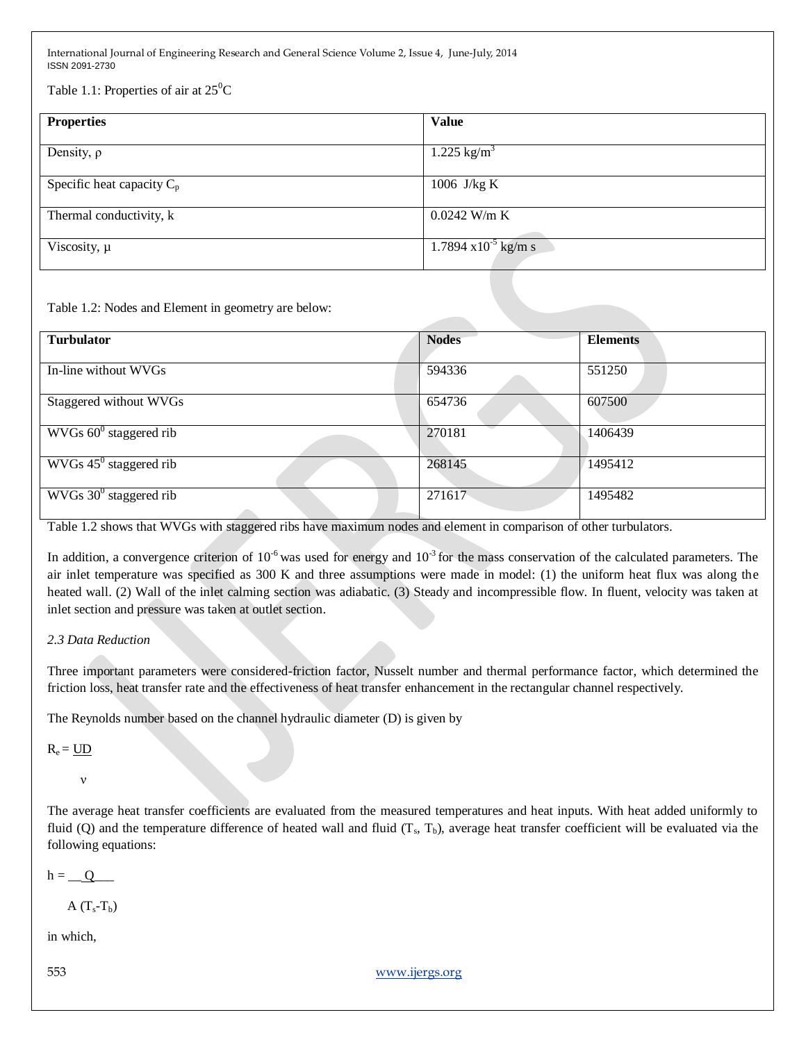Table 1.1: Properties of air at  $25^{\circ}$ C

| <b>Properties</b>            | <b>Value</b>                   |
|------------------------------|--------------------------------|
| Density, $\rho$              | $1.225$ kg/m <sup>3</sup>      |
| Specific heat capacity $C_p$ | 1006 J/kg K                    |
| Thermal conductivity, k      | $0.0242$ W/m K                 |
| Viscosity, $\mu$             | $1.7894 \times 10^{-5}$ kg/m s |

Table 1.2: Nodes and Element in geometry are below:

| <b>Turbulator</b>                  | <b>Nodes</b> | <b>Elements</b> |
|------------------------------------|--------------|-----------------|
|                                    |              |                 |
| In-line without WVGs               | 594336       | 551250          |
|                                    |              |                 |
| Staggered without WVGs             | 654736       | 607500          |
|                                    |              |                 |
| $WVGs 600$ staggered rib           | 270181       | 1406439         |
|                                    |              |                 |
| $WVGs 45^{\circ}$ staggered rib    | 268145       | 1495412         |
|                                    |              |                 |
| WVGs 30 <sup>0</sup> staggered rib | 271617       | 1495482         |
|                                    |              |                 |

Table 1.2 shows that WVGs with staggered ribs have maximum nodes and element in comparison of other turbulators.

In addition, a convergence criterion of  $10^{-6}$  was used for energy and  $10^{-3}$  for the mass conservation of the calculated parameters. The air inlet temperature was specified as 300 K and three assumptions were made in model: (1) the uniform heat flux was along the heated wall. (2) Wall of the inlet calming section was adiabatic. (3) Steady and incompressible flow. In fluent, velocity was taken at inlet section and pressure was taken at outlet section.

### *2.3 Data Reduction*

Three important parameters were considered-friction factor, Nusselt number and thermal performance factor, which determined the friction loss, heat transfer rate and the effectiveness of heat transfer enhancement in the rectangular channel respectively.

The Reynolds number based on the channel hydraulic diameter (D) is given by

 $R_e = UD$ 

ν

The average heat transfer coefficients are evaluated from the measured temperatures and heat inputs. With heat added uniformly to fluid (Q) and the temperature difference of heated wall and fluid  $(T_s, T_b)$ , average heat transfer coefficient will be evaluated via the following equations:

 $h = Q$ 

A  $(T_s-T_b)$ 

in which,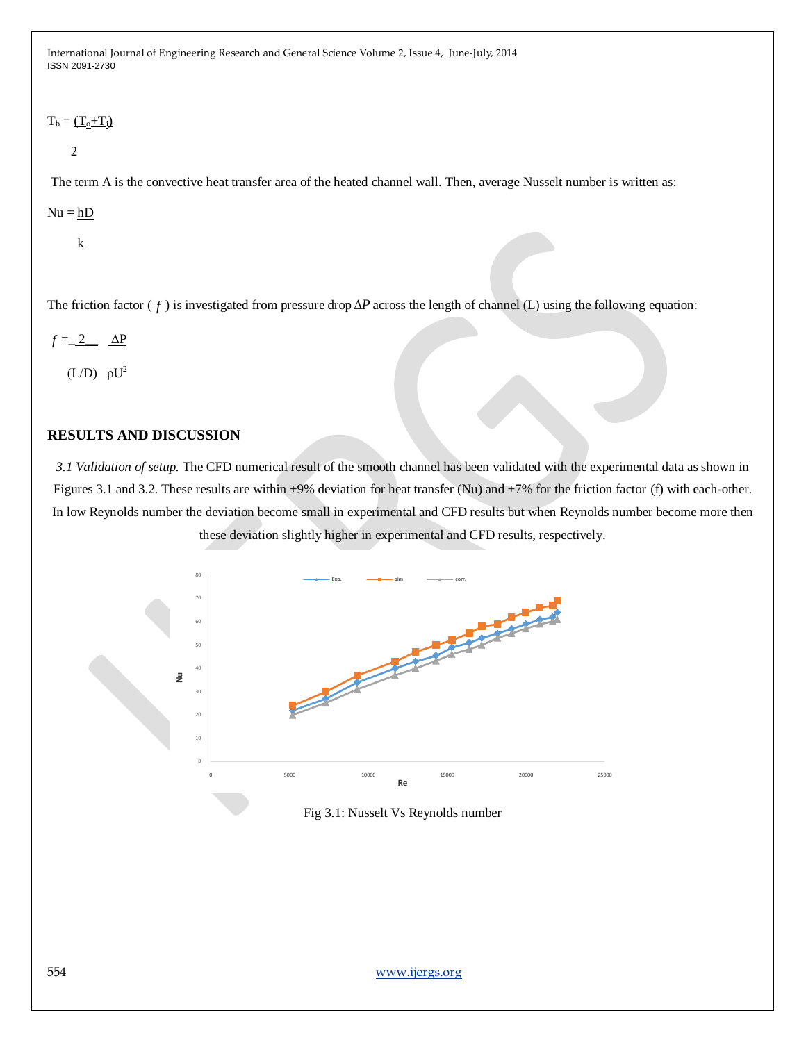#### $T_b = \underline{(T_0+T_i)}$

2

The term A is the convective heat transfer area of the heated channel wall. Then, average Nusselt number is written as:

 $Nu = hD$ 

k

The friction factor ( $f$ ) is investigated from pressure drop  $\Delta P$  across the length of channel (L) using the following equation:

$$
f = 2 \Delta P
$$

 $(L/D)$   $\rho U^2$ 

### **RESULTS AND DISCUSSION**

*3.1 Validation of setup.* The CFD numerical result of the smooth channel has been validated with the experimental data as shown in Figures 3.1 and 3.2. These results are within  $\pm 9\%$  deviation for heat transfer (Nu) and  $\pm 7\%$  for the friction factor (f) with each-other. In low Reynolds number the deviation become small in experimental and CFD results but when Reynolds number become more then these deviation slightly higher in experimental and CFD results, respectively.



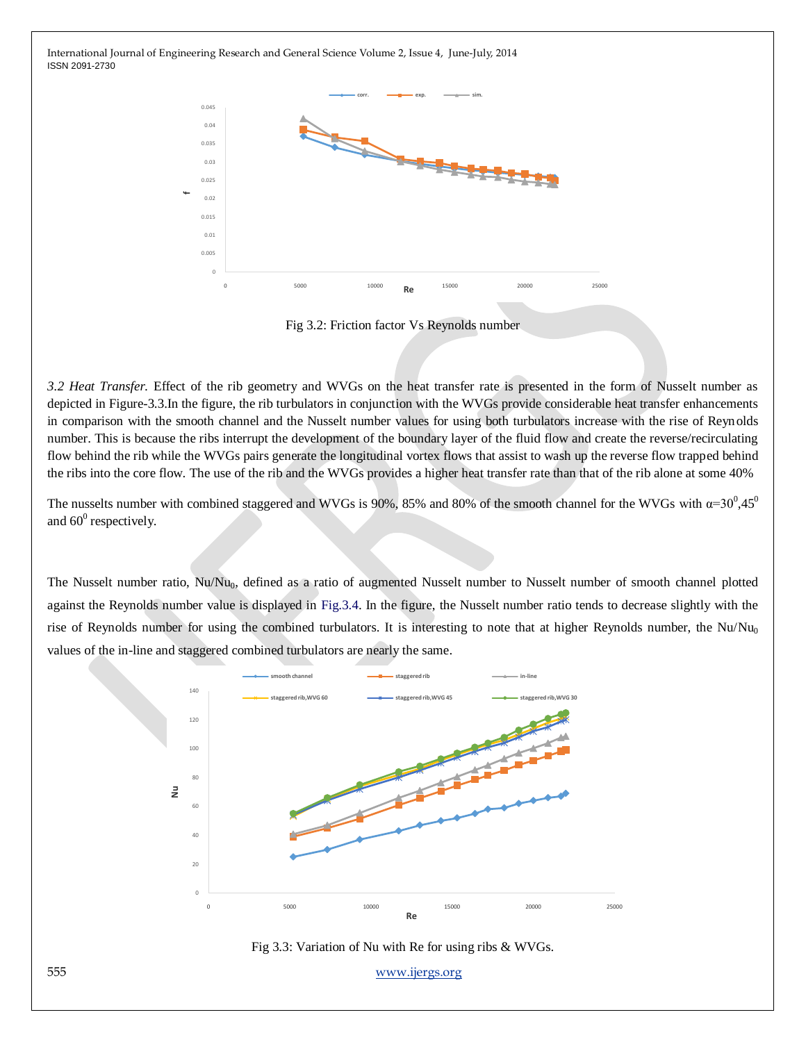

Fig 3.2: Friction factor Vs Reynolds number

*3.2 Heat Transfer.* Effect of the rib geometry and WVGs on the heat transfer rate is presented in the form of Nusselt number as depicted in Figure-3.3.In the figure, the rib turbulators in conjunction with the WVGs provide considerable heat transfer enhancements in comparison with the smooth channel and the Nusselt number values for using both turbulators increase with the rise of Reynolds number. This is because the ribs interrupt the development of the boundary layer of the fluid flow and create the reverse/recirculating flow behind the rib while the WVGs pairs generate the longitudinal vortex flows that assist to wash up the reverse flow trapped behind the ribs into the core flow. The use of the rib and the WVGs provides a higher heat transfer rate than that of the rib alone at some 40%

The nusselts number with combined staggered and WVGs is 90%, 85% and 80% of the smooth channel for the WVGs with  $\alpha=30^{\circ},45^{\circ}$ and  $60^0$  respectively.

The Nusselt number ratio, Nu/Nu<sub>0</sub>, defined as a ratio of augmented Nusselt number to Nusselt number of smooth channel plotted against the Reynolds number value is displayed in Fig.3.4. In the figure, the Nusselt number ratio tends to decrease slightly with the rise of Reynolds number for using the combined turbulators. It is interesting to note that at higher Reynolds number, the Nu/Nu<sub>0</sub> values of the in-line and staggered combined turbulators are nearly the same.



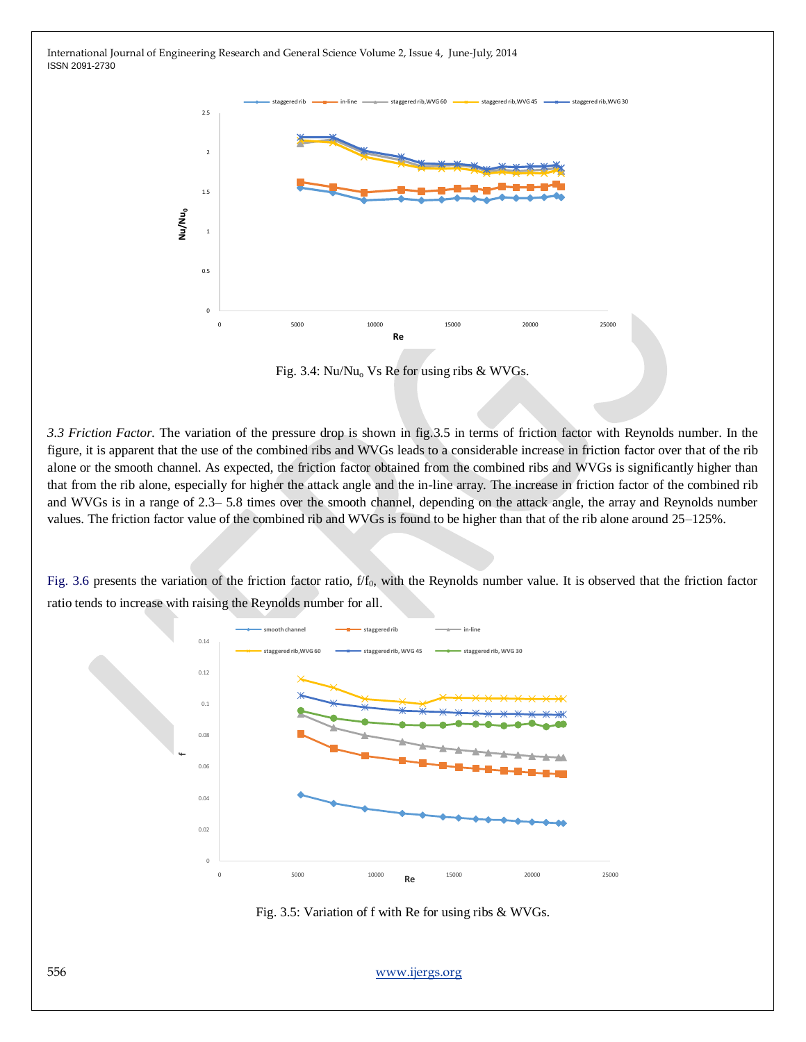

Fig. 3.4:  $Nu/Nu_0$  Vs Re for using ribs & WVGs.

*3.3 Friction Factor.* The variation of the pressure drop is shown in fig.3.5 in terms of friction factor with Reynolds number. In the figure, it is apparent that the use of the combined ribs and WVGs leads to a considerable increase in friction factor over that of the rib alone or the smooth channel. As expected, the friction factor obtained from the combined ribs and WVGs is significantly higher than that from the rib alone, especially for higher the attack angle and the in-line array. The increase in friction factor of the combined rib and WVGs is in a range of 2.3– 5.8 times over the smooth channel, depending on the attack angle, the array and Reynolds number values. The friction factor value of the combined rib and WVGs is found to be higher than that of the rib alone around 25–125%.

Fig. 3.6 presents the variation of the friction factor ratio, f/f<sub>0</sub>, with the Reynolds number value. It is observed that the friction factor ratio tends to increase with raising the Reynolds number for all.



Fig. 3.5: Variation of f with Re for using ribs & WVGs.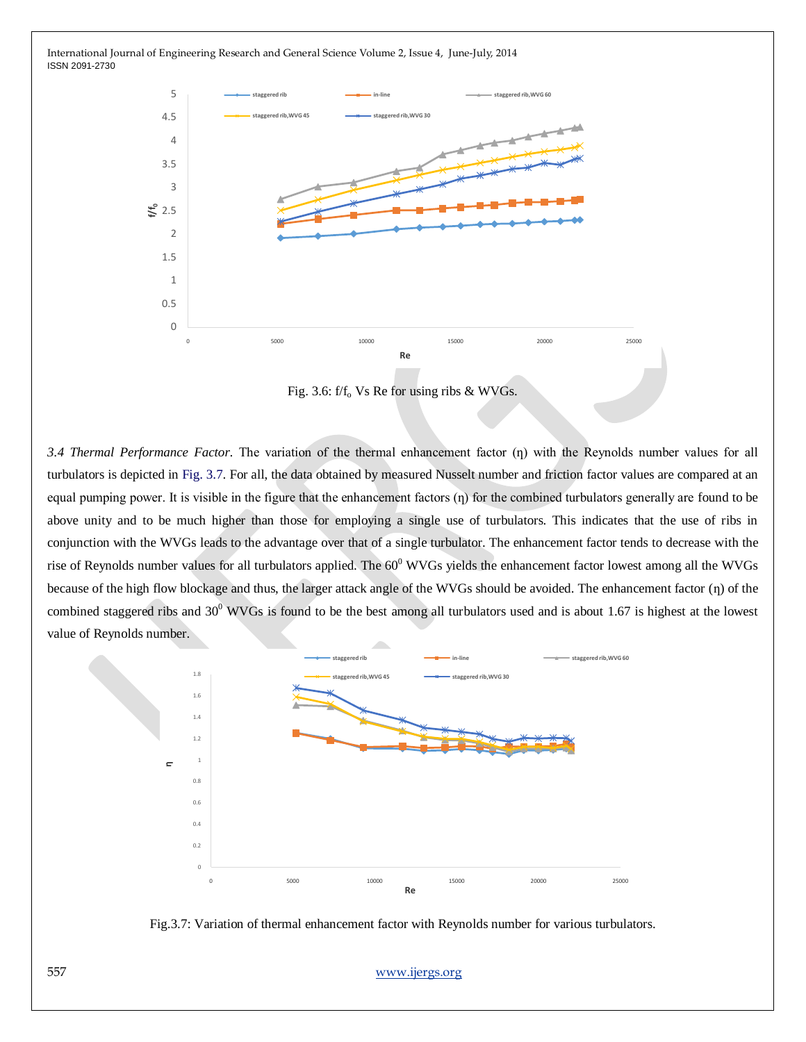

Fig. 3.6:  $f/f<sub>o</sub>$  Vs Re for using ribs & WVGs.

*3.4 Thermal Performance Factor.* The variation of the thermal enhancement factor (ƞ) with the Reynolds number values for all turbulators is depicted in Fig. 3.7. For all, the data obtained by measured Nusselt number and friction factor values are compared at an equal pumping power. It is visible in the figure that the enhancement factors  $(\eta)$  for the combined turbulators generally are found to be above unity and to be much higher than those for employing a single use of turbulators. This indicates that the use of ribs in conjunction with the WVGs leads to the advantage over that of a single turbulator. The enhancement factor tends to decrease with the rise of Reynolds number values for all turbulators applied. The  $60^{\circ}$  WVGs yields the enhancement factor lowest among all the WVGs because of the high flow blockage and thus, the larger attack angle of the WVGs should be avoided. The enhancement factor (n) of the combined staggered ribs and  $30^0$  WVGs is found to be the best among all turbulators used and is about 1.67 is highest at the lowest value of Reynolds number.



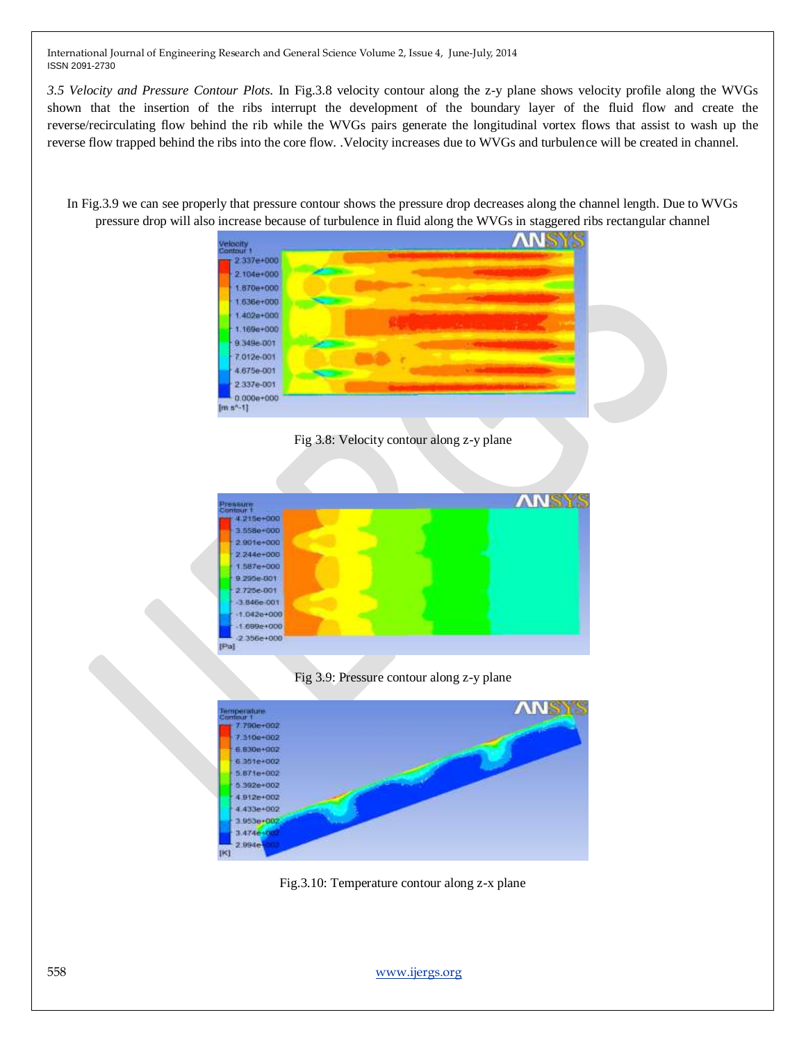*3.5 Velocity and Pressure Contour Plots.* In Fig.3.8 velocity contour along the z-y plane shows velocity profile along the WVGs shown that the insertion of the ribs interrupt the development of the boundary layer of the fluid flow and create the reverse/recirculating flow behind the rib while the WVGs pairs generate the longitudinal vortex flows that assist to wash up the reverse flow trapped behind the ribs into the core flow. .Velocity increases due to WVGs and turbulence will be created in channel.

In Fig.3.9 we can see properly that pressure contour shows the pressure drop decreases along the channel length. Due to WVGs pressure drop will also increase because of turbulence in fluid along the WVGs in staggered ribs rectangular channel



Fig 3.8: Velocity contour along z-y plane



Fig 3.9: Pressure contour along z-y plane



Fig.3.10: Temperature contour along z-x plane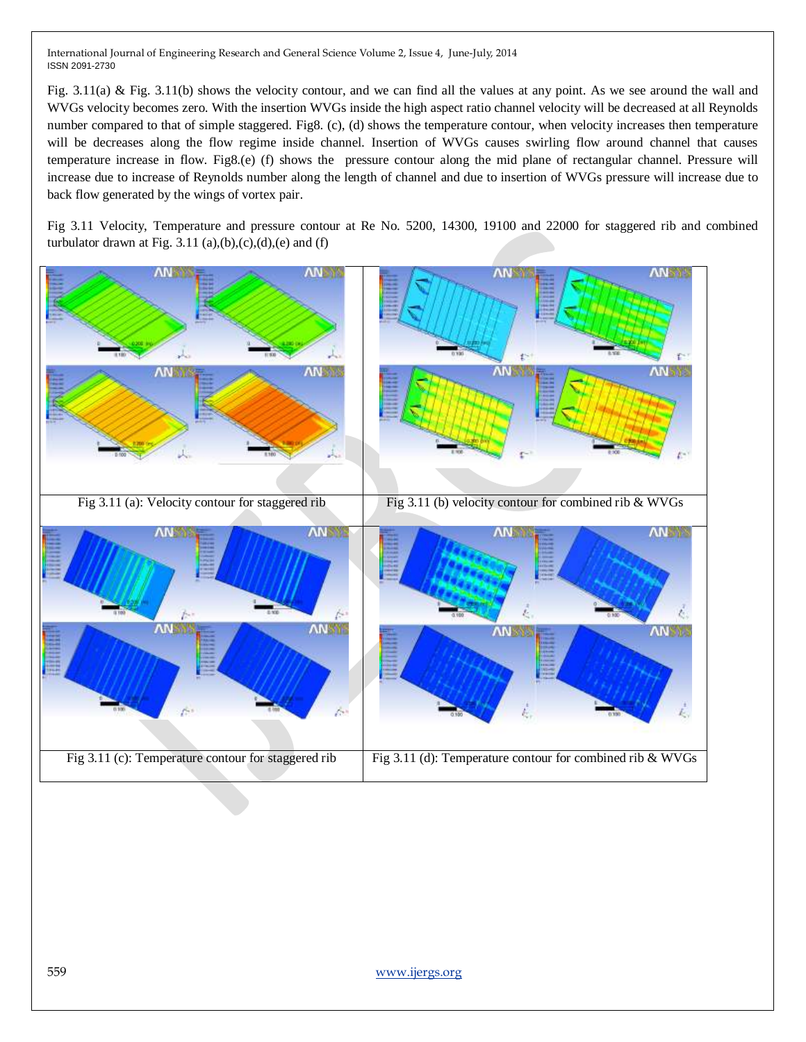Fig. 3.11(a) & Fig. 3.11(b) shows the velocity contour, and we can find all the values at any point. As we see around the wall and WVGs velocity becomes zero. With the insertion WVGs inside the high aspect ratio channel velocity will be decreased at all Reynolds number compared to that of simple staggered. Fig8. (c), (d) shows the temperature contour, when velocity increases then temperature will be decreases along the flow regime inside channel. Insertion of WVGs causes swirling flow around channel that causes temperature increase in flow. Fig8.(e) (f) shows the pressure contour along the mid plane of rectangular channel. Pressure will increase due to increase of Reynolds number along the length of channel and due to insertion of WVGs pressure will increase due to back flow generated by the wings of vortex pair.

Fig 3.11 Velocity, Temperature and pressure contour at Re No. 5200, 14300, 19100 and 22000 for staggered rib and combined turbulator drawn at Fig. 3.11 (a),(b),(c),(d),(e) and (f)

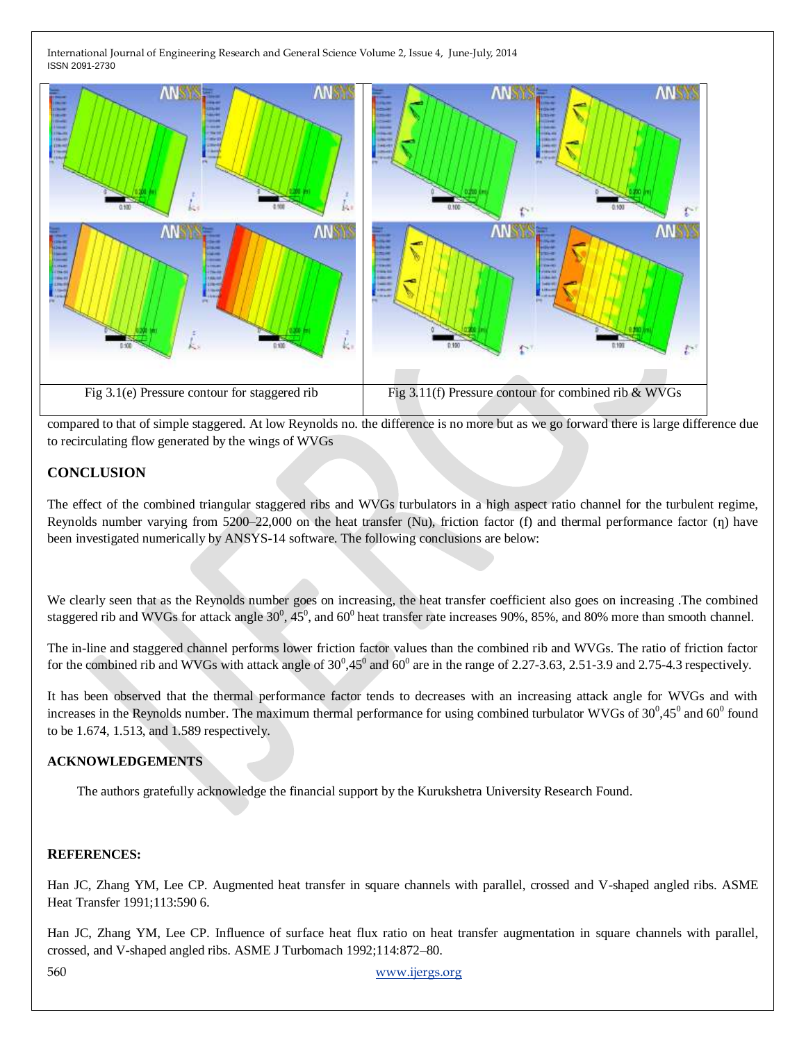

compared to that of simple staggered. At low Reynolds no. the difference is no more but as we go forward there is large difference due to recirculating flow generated by the wings of WVGs

## **CONCLUSION**

The effect of the combined triangular staggered ribs and WVGs turbulators in a high aspect ratio channel for the turbulent regime, Reynolds number varying from  $5200-22,000$  on the heat transfer (Nu), friction factor (f) and thermal performance factor ( $\eta$ ) have been investigated numerically by ANSYS-14 software. The following conclusions are below:

We clearly seen that as the Reynolds number goes on increasing, the heat transfer coefficient also goes on increasing .The combined staggered rib and WVGs for attack angle  $30^0$ ,  $45^0$ , and  $60^0$  heat transfer rate increases 90%, 85%, and 80% more than smooth channel.

The in-line and staggered channel performs lower friction factor values than the combined rib and WVGs. The ratio of friction factor for the combined rib and WVGs with attack angle of  $30^0,45^0$  and  $60^0$  are in the range of 2.27-3.63, 2.51-3.9 and 2.75-4.3 respectively.

It has been observed that the thermal performance factor tends to decreases with an increasing attack angle for WVGs and with increases in the Reynolds number. The maximum thermal performance for using combined turbulator WVGs of  $30^0,45^0$  and  $60^0$  found to be 1.674, 1.513, and 1.589 respectively.

#### **ACKNOWLEDGEMENTS**

The authors gratefully acknowledge the financial support by the Kurukshetra University Research Found.

#### **REFERENCES:**

Han JC, Zhang YM, Lee CP. Augmented heat transfer in square channels with parallel, crossed and V-shaped angled ribs. ASME Heat Transfer 1991;113:590 6.

Han JC, Zhang YM, Lee CP. Influence of surface heat flux ratio on heat transfer augmentation in square channels with parallel, crossed, and V-shaped angled ribs. ASME J Turbomach 1992;114:872–80.